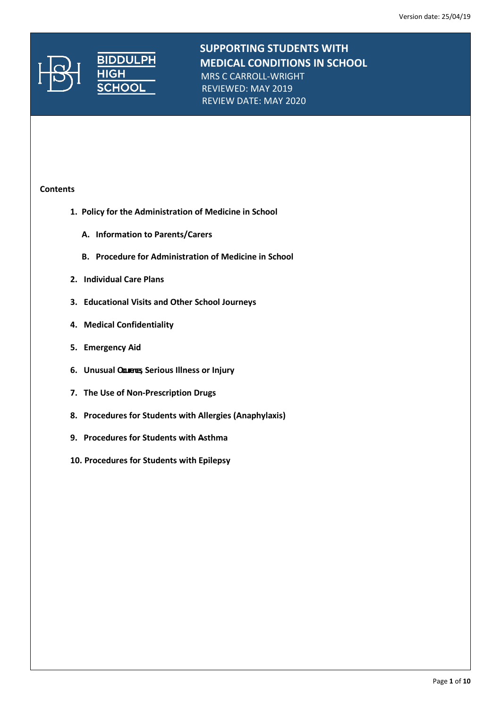

**SUPPORTING STUDENTS WITH**<br>**BIDDULPH MEDICAL CONDITIONS IN SCH MEDICAL CONDITIONS IN SCHOOL** MRS C CARROLL-WRIGHT REVIEWED: MAY 2019

REVIEW DATE: MAY 2020

### **Contents**

- **1. Policy for the Administration of Medicine in School**
	- **A. Information to Parents/Carers**
	- **B. Procedure for Administration of Medicine in School**
- **2. Individual Care Plans**
- **3. Educational Visits and Other School Journeys**
- **4. Medical Confidentiality**
- **5. Emergency Aid**
- **6.** Unusual **Courres** Serious Illness or Injury
- **7. The Use of Non-Prescription Drugs**
- **8. Procedures for Students with Allergies (Anaphylaxis)**
- **9. Procedures for Students with Asthma**
- **10. Procedures for Students with Epilepsy**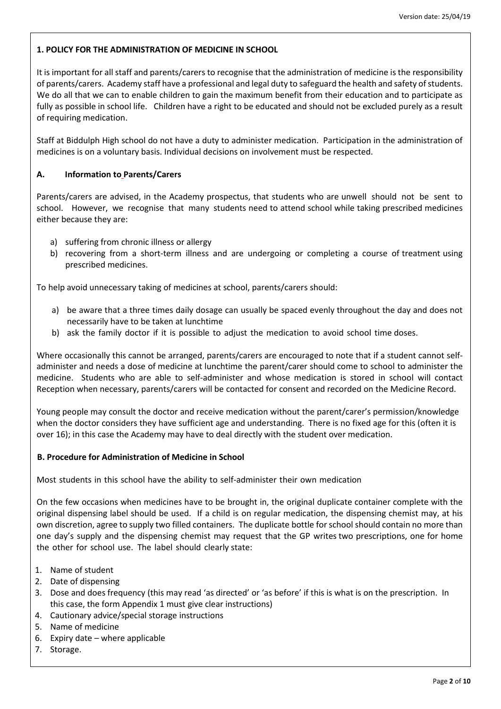# **1. POLICY FOR THE ADMINISTRATION OF MEDICINE IN SCHOOL**

It is important for all staff and parents/carers to recognise that the administration of medicine is the responsibility of parents/carers. Academy staff have a professional and legal duty to safeguard the health and safety of students. We do all that we can to enable children to gain the maximum benefit from their education and to participate as fully as possible in school life. Children have a right to be educated and should not be excluded purely as a result of requiring medication.

Staff at Biddulph High school do not have a duty to administer medication. Participation in the administration of medicines is on a voluntary basis. Individual decisions on involvement must be respected.

### **A. Information to Parents/Carers**

Parents/carers are advised, in the Academy prospectus, that students who are unwell should not be sent to school. However, we recognise that many students need to attend school while taking prescribed medicines either because they are:

- a) suffering from chronic illness or allergy
- b) recovering from a short-term illness and are undergoing or completing a course of treatment using prescribed medicines.

To help avoid unnecessary taking of medicines at school, parents/carers should:

- a) be aware that a three times daily dosage can usually be spaced evenly throughout the day and does not necessarily have to be taken at lunchtime
- b) ask the family doctor if it is possible to adjust the medication to avoid school time doses.

Where occasionally this cannot be arranged, parents/carers are encouraged to note that if a student cannot selfadminister and needs a dose of medicine at lunchtime the parent/carer should come to school to administer the medicine. Students who are able to self-administer and whose medication is stored in school will contact Reception when necessary, parents/carers will be contacted for consent and recorded on the Medicine Record.

Young people may consult the doctor and receive medication without the parent/carer's permission/knowledge when the doctor considers they have sufficient age and understanding. There is no fixed age for this (often it is over 16); in this case the Academy may have to deal directly with the student over medication.

### **B. Procedure for Administration of Medicine in School**

Most students in this school have the ability to self-administer their own medication

On the few occasions when medicines have to be brought in, the original duplicate container complete with the original dispensing label should be used. If a child is on regular medication, the dispensing chemist may, at his own discretion, agree to supply two filled containers. The duplicate bottle forschoolshould contain no more than one day's supply and the dispensing chemist may request that the GP writes two prescriptions, one for home the other for school use. The label should clearly state:

- 1. Name of student
- 2. Date of dispensing
- 3. Dose and does frequency (this may read 'as directed' or 'as before' if this is what is on the prescription. In this case, the form Appendix 1 must give clear instructions)
- 4. Cautionary advice/special storage instructions
- 5. Name of medicine
- 6. Expiry date where applicable
- 7. Storage.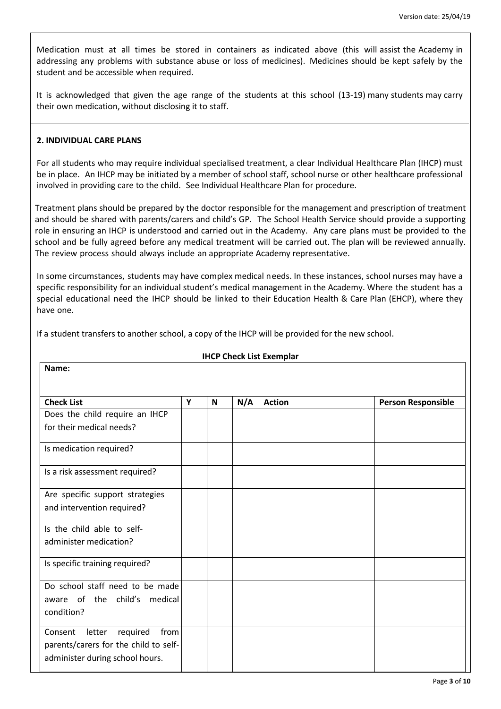Medication must at all times be stored in containers as indicated above (this will assist the Academy in addressing any problems with substance abuse or loss of medicines). Medicines should be kept safely by the student and be accessible when required.

It is acknowledged that given the age range of the students at this school (13-19) many students may carry their own medication, without disclosing it to staff.

### **2. INDIVIDUAL CARE PLANS**

For all students who may require individual specialised treatment, a clear Individual Healthcare Plan (IHCP) must be in place. An IHCP may be initiated by a member of school staff, school nurse or other healthcare professional involved in providing care to the child. See Individual Healthcare Plan for procedure.

Treatment plans should be prepared by the doctor responsible for the management and prescription of treatment and should be shared with parents/carers and child's GP. The School Health Service should provide a supporting role in ensuring an IHCP is understood and carried out in the Academy. Any care plans must be provided to the school and be fully agreed before any medical treatment will be carried out. The plan will be reviewed annually. The review process should always include an appropriate Academy representative.

In some circumstances, students may have complex medical needs. In these instances, school nurses may have a specific responsibility for an individual student's medical management in the Academy. Where the student has a special educational need the IHCP should be linked to their Education Health & Care Plan (EHCP), where they have one.

If a student transfers to another school, a copy of the IHCP will be provided for the new school.

| Name:                                 |   |   |     |               |                           |
|---------------------------------------|---|---|-----|---------------|---------------------------|
| <b>Check List</b>                     | Y | N | N/A | <b>Action</b> | <b>Person Responsible</b> |
| Does the child require an IHCP        |   |   |     |               |                           |
| for their medical needs?              |   |   |     |               |                           |
| Is medication required?               |   |   |     |               |                           |
| Is a risk assessment required?        |   |   |     |               |                           |
| Are specific support strategies       |   |   |     |               |                           |
| and intervention required?            |   |   |     |               |                           |
| Is the child able to self-            |   |   |     |               |                           |
| administer medication?                |   |   |     |               |                           |
| Is specific training required?        |   |   |     |               |                           |
| Do school staff need to be made       |   |   |     |               |                           |
| aware of the child's medical          |   |   |     |               |                           |
| condition?                            |   |   |     |               |                           |
| required<br>from<br>Consent<br>letter |   |   |     |               |                           |
| parents/carers for the child to self- |   |   |     |               |                           |
| administer during school hours.       |   |   |     |               |                           |

### **IHCP Check List Exemplar**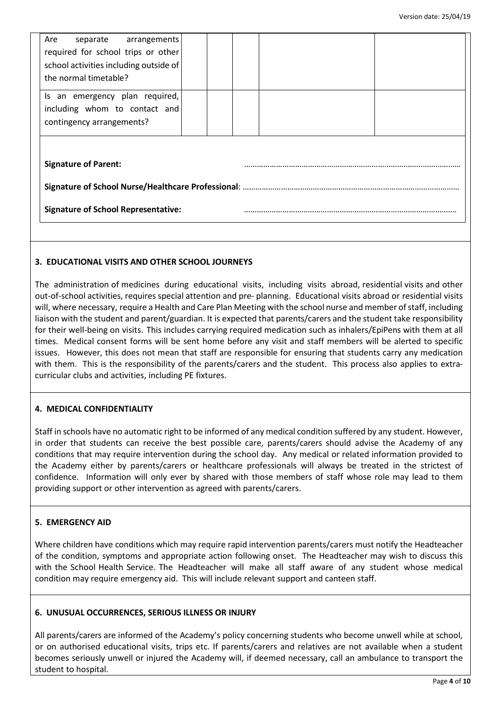| Are<br>separate arrangements               |  |  |  |  |
|--------------------------------------------|--|--|--|--|
| required for school trips or other         |  |  |  |  |
| school activities including outside of     |  |  |  |  |
| the normal timetable?                      |  |  |  |  |
| Is an emergency plan required,             |  |  |  |  |
| including whom to contact and              |  |  |  |  |
| contingency arrangements?                  |  |  |  |  |
|                                            |  |  |  |  |
| <b>Signature of Parent:</b>                |  |  |  |  |
|                                            |  |  |  |  |
| <b>Signature of School Representative:</b> |  |  |  |  |
|                                            |  |  |  |  |

# **3. EDUCATIONAL VISITS AND OTHER SCHOOL JOURNEYS**

The administration of medicines during educational visits, including visits abroad, residential visits and other out-of-school activities, requires special attention and pre- planning. Educational visits abroad or residential visits will, where necessary, require a Health and Care Plan Meeting with the school nurse and member of staff, including liaison with the student and parent/guardian. It is expected that parents/carers and the student take responsibility for their well-being on visits. This includes carrying required medication such as inhalers/EpiPens with them at all times. Medical consent forms will be sent home before any visit and staff members will be alerted to specific issues. However, this does not mean that staff are responsible for ensuring that students carry any medication with them. This is the responsibility of the parents/carers and the student. This process also applies to extracurricular clubs and activities, including PE fixtures.

### **4. MEDICAL CONFIDENTIALITY**

Staff in schools have no automatic right to be informed of any medical condition suffered by any student. However, in order that students can receive the best possible care, parents/carers should advise the Academy of any conditions that may require intervention during the school day. Any medical or related information provided to the Academy either by parents/carers or healthcare professionals will always be treated in the strictest of confidence. Information will only ever by shared with those members of staff whose role may lead to them providing support or other intervention as agreed with parents/carers.

### **5. EMERGENCY AID**

Where children have conditions which may require rapid intervention parents/carers must notify the Headteacher of the condition, symptoms and appropriate action following onset. The Headteacher may wish to discuss this with the School Health Service. The Headteacher will make all staff aware of any student whose medical condition may require emergency aid. This will include relevant support and canteen staff.

### **6. UNUSUAL OCCURRENCES, SERIOUS ILLNESS OR INJURY**

All parents/carers are informed of the Academy's policy concerning students who become unwell while at school, or on authorised educational visits, trips etc. If parents/carers and relatives are not available when a student becomes seriously unwell or injured the Academy will, if deemed necessary, call an ambulance to transport the student to hospital.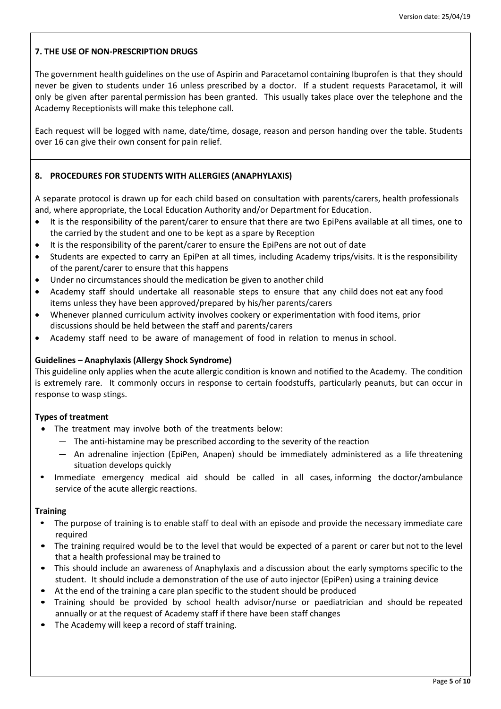# **7. THE USE OF NON-PRESCRIPTION DRUGS**

The government health guidelines on the use of Aspirin and Paracetamol containing Ibuprofen is that they should never be given to students under 16 unless prescribed by a doctor. If a student requests Paracetamol, it will only be given after parental permission has been granted. This usually takes place over the telephone and the Academy Receptionists will make this telephone call.

Each request will be logged with name, date/time, dosage, reason and person handing over the table. Students over 16 can give their own consent for pain relief.

## **8. PROCEDURES FOR STUDENTS WITH ALLERGIES (ANAPHYLAXIS)**

A separate protocol is drawn up for each child based on consultation with parents/carers, health professionals and, where appropriate, the Local Education Authority and/or Department for Education.

- It is the responsibility of the parent/carer to ensure that there are two EpiPens available at all times, one to the carried by the student and one to be kept as a spare by Reception
- It is the responsibility of the parent/carer to ensure the EpiPens are not out of date
- Students are expected to carry an EpiPen at all times, including Academy trips/visits. It is the responsibility of the parent/carer to ensure that this happens
- Under no circumstances should the medication be given to another child
- Academy staff should undertake all reasonable steps to ensure that any child does not eat any food items unless they have been approved/prepared by his/her parents/carers
- Whenever planned curriculum activity involves cookery or experimentation with food items, prior discussions should be held between the staff and parents/carers
- Academy staff need to be aware of management of food in relation to menus in school.

### **Guidelines – Anaphylaxis (Allergy Shock Syndrome)**

This guideline only applies when the acute allergic condition is known and notified to the Academy. The condition is extremely rare. It commonly occurs in response to certain foodstuffs, particularly peanuts, but can occur in response to wasp stings.

### **Types of treatment**

- The treatment may involve both of the treatments below:
	- The anti-histamine may be prescribed according to the severity of the reaction
	- An adrenaline injection (EpiPen, Anapen) should be immediately administered as a life threatening situation develops quickly
- Immediate emergency medical aid should be called in all cases, informing the doctor/ambulance service of the acute allergic reactions.

#### **Training**

- The purpose of training is to enable staff to deal with an episode and provide the necessary immediate care required
- The training required would be to the level that would be expected of a parent or carer but not to the level that a health professional may be trained to
- This should include an awareness of Anaphylaxis and a discussion about the early symptoms specific to the student. It should include a demonstration of the use of auto injector (EpiPen) using a training device
- At the end of the training a care plan specific to the student should be produced
- Training should be provided by school health advisor/nurse or paediatrician and should be repeated annually or at the request of Academy staff if there have been staff changes
- The Academy will keep a record of staff training.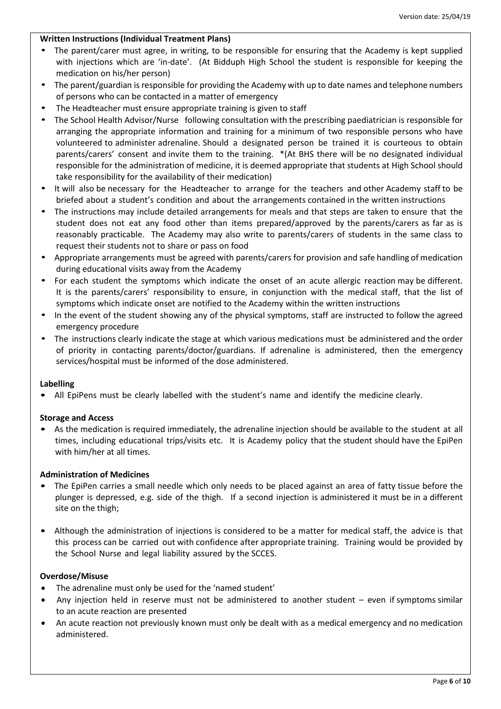### **Written Instructions (Individual Treatment Plans)**

- The parent/carer must agree, in writing, to be responsible for ensuring that the Academy is kept supplied with injections which are 'in-date'. (At Bidduph High School the student is responsible for keeping the medication on his/her person)
- The parent/guardian is responsible for providing the Academy with up to date names and telephone numbers of persons who can be contacted in a matter of emergency
- The Headteacher must ensure appropriate training is given to staff
- The School Health Advisor/Nurse following consultation with the prescribing paediatrician is responsible for arranging the appropriate information and training for a minimum of two responsible persons who have volunteered to administer adrenaline. Should a designated person be trained it is courteous to obtain parents/carers' consent and invite them to the training. \*(At BHS there will be no designated individual responsible for the administration of medicine, it is deemed appropriate that students at High School should take responsibility for the availability of their medication)
- It will also be necessary for the Headteacher to arrange for the teachers and other Academy staff to be briefed about a student's condition and about the arrangements contained in the written instructions
- The instructions may include detailed arrangements for meals and that steps are taken to ensure that the student does not eat any food other than items prepared/approved by the parents/carers as far as is reasonably practicable. The Academy may also write to parents/carers of students in the same class to request their students not to share or pass on food
- Appropriate arrangements must be agreed with parents/carers for provision and safe handling of medication during educational visits away from the Academy
- For each student the symptoms which indicate the onset of an acute allergic reaction may be different. It is the parents/carers' responsibility to ensure, in conjunction with the medical staff, that the list of symptoms which indicate onset are notified to the Academy within the written instructions
- In the event of the student showing any of the physical symptoms, staff are instructed to follow the agreed emergency procedure
- The instructions clearly indicate the stage at which various medications must be administered and the order of priority in contacting parents/doctor/guardians. If adrenaline is administered, then the emergency services/hospital must be informed of the dose administered.

### **Labelling**

• All EpiPens must be clearly labelled with the student's name and identify the medicine clearly.

### **Storage and Access**

• As the medication is required immediately, the adrenaline injection should be available to the student at all times, including educational trips/visits etc. It is Academy policy that the student should have the EpiPen with him/her at all times.

### **Administration of Medicines**

- The EpiPen carries a small needle which only needs to be placed against an area of fatty tissue before the plunger is depressed, e.g. side of the thigh. If a second injection is administered it must be in a different site on the thigh;
- Although the administration of injections is considered to be a matter for medical staff, the advice is that this process can be carried out with confidence after appropriate training. Training would be provided by the School Nurse and legal liability assured by the SCCES.

### **Overdose/Misuse**

- The adrenaline must only be used for the 'named student'
- Any injection held in reserve must not be administered to another student even if symptoms similar to an acute reaction are presented
- An acute reaction not previously known must only be dealt with as a medical emergency and no medication administered.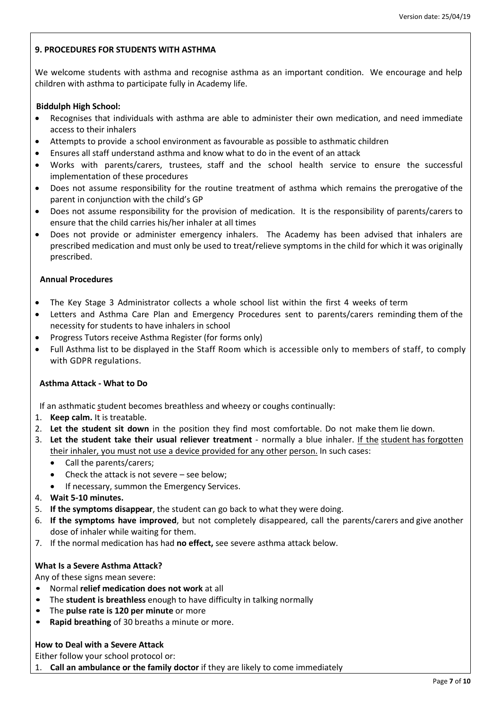## **9. PROCEDURES FOR STUDENTS WITH ASTHMA**

We welcome students with asthma and recognise asthma as an important condition. We encourage and help children with asthma to participate fully in Academy life.

### **Biddulph High School:**

- Recognises that individuals with asthma are able to administer their own medication, and need immediate access to their inhalers
- Attempts to provide a school environment as favourable as possible to asthmatic children
- Ensures all staff understand asthma and know what to do in the event of an attack
- Works with parents/carers, trustees, staff and the school health service to ensure the successful implementation of these procedures
- Does not assume responsibility for the routine treatment of asthma which remains the prerogative of the parent in conjunction with the child's GP
- Does not assume responsibility for the provision of medication. It is the responsibility of parents/carers to ensure that the child carries his/her inhaler at all times
- Does not provide or administer emergency inhalers. The Academy has been advised that inhalers are prescribed medication and must only be used to treat/relieve symptoms in the child for which it was originally prescribed.

### **Annual Procedures**

- The Key Stage 3 Administrator collects a whole school list within the first 4 weeks of term
- Letters and Asthma Care Plan and Emergency Procedures sent to parents/carers reminding them of the necessity for students to have inhalers in school
- Progress Tutors receive Asthma Register (for forms only)
- Full Asthma list to be displayed in the Staff Room which is accessible only to members of staff, to comply with GDPR regulations.

# **Asthma Attack - What to Do**

If an asthmatic student becomes breathless and wheezy or coughs continually:

- 1. **Keep calm.** It is treatable.
- 2. **Let the student sit down** in the position they find most comfortable. Do not make them lie down.
- 3. **Let the student take their usual reliever treatment** normally a blue inhaler. If the student has forgotten their inhaler, you must not use a device provided for any other person. In such cases:
	- Call the parents/carers;
	- Check the attack is not severe see below;
	- If necessary, summon the Emergency Services.
- 4. **Wait 5-10 minutes.**
- 5. **If the symptoms disappear**, the student can go back to what they were doing.
- 6. **If the symptoms have improved**, but not completely disappeared, call the parents/carers and give another dose of inhaler while waiting for them.
- 7. If the normal medication has had **no effect,** see severe asthma attack below.

### **What Is a Severe Asthma Attack?**

Any of these signs mean severe:

- Normal **relief medication does not work** at all
- The **student is breathless** enough to have difficulty in talking normally
- The **pulse rate is 120 per minute** or more
- **Rapid breathing** of 30 breaths a minute or more.

# **How to Deal with a Severe Attack**

Either follow your school protocol or:

1. **Call an ambulance or the family doctor** if they are likely to come immediately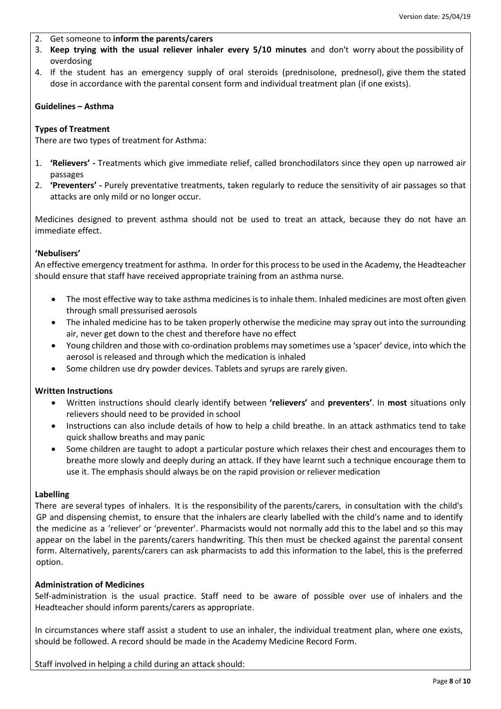- 2. Get someone to **inform the parents/carers**
- 3. **Keep trying with the usual reliever inhaler every 5/10 minutes** and don't worry about the possibility of overdosing
- 4. If the student has an emergency supply of oral steroids (prednisolone, prednesol), give them the stated dose in accordance with the parental consent form and individual treatment plan (if one exists).

### **Guidelines – Asthma**

### **Types of Treatment**

There are two types of treatment for Asthma:

- 1. **'Relievers' -** Treatments which give immediate relief, called bronchodilators since they open up narrowed air passages
- 2. **'Preventers' -** Purely preventative treatments, taken regularly to reduce the sensitivity of air passages so that attacks are only mild or no longer occur.

Medicines designed to prevent asthma should not be used to treat an attack, because they do not have an immediate effect.

### **'Nebulisers'**

An effective emergency treatment for asthma. In order for this processto be used in the Academy, the Headteacher should ensure that staff have received appropriate training from an asthma nurse.

- The most effective way to take asthma medicines is to inhale them. Inhaled medicines are most often given through small pressurised aerosols
- The inhaled medicine has to be taken properly otherwise the medicine may spray out into the surrounding air, never get down to the chest and therefore have no effect
- Young children and those with co-ordination problems may sometimes use a 'spacer' device, into which the aerosol is released and through which the medication is inhaled
- Some children use dry powder devices. Tablets and syrups are rarely given.

### **Written Instructions**

- Written instructions should clearly identify between **'relievers'** and **preventers'**. In **most** situations only relievers should need to be provided in school
- Instructions can also include details of how to help a child breathe. In an attack asthmatics tend to take quick shallow breaths and may panic
- Some children are taught to adopt a particular posture which relaxes their chest and encourages them to breathe more slowly and deeply during an attack. If they have learnt such a technique encourage them to use it. The emphasis should always be on the rapid provision or reliever medication

#### **Labelling**

There are several types of inhalers. It is the responsibility of the parents/carers, in consultation with the child's GP and dispensing chemist, to ensure that the inhalers are clearly labelled with the child's name and to identify the medicine as a 'reliever' or 'preventer'. Pharmacists would not normally add this to the label and so this may appear on the label in the parents/carers handwriting. This then must be checked against the parental consent form. Alternatively, parents/carers can ask pharmacists to add this information to the label, this is the preferred option.

# **Administration of Medicines**

Self-administration is the usual practice. Staff need to be aware of possible over use of inhalers and the Headteacher should inform parents/carers as appropriate.

In circumstances where staff assist a student to use an inhaler, the individual treatment plan, where one exists, should be followed. A record should be made in the Academy Medicine Record Form.

Staff involved in helping a child during an attack should: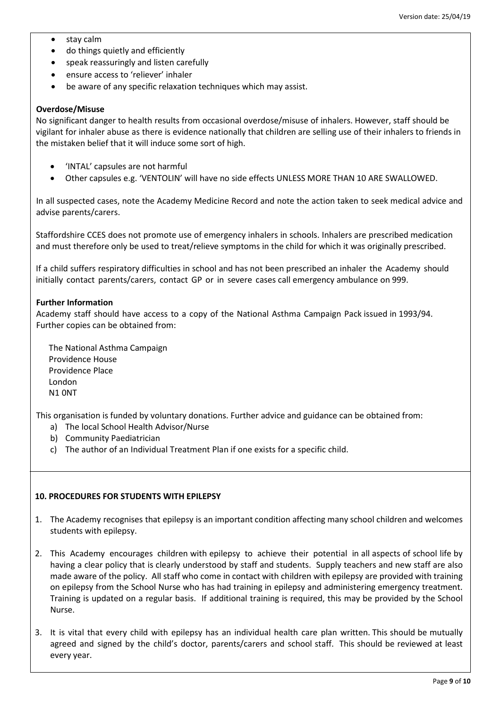- stay calm
- do things quietly and efficiently
- speak reassuringly and listen carefully
- ensure access to 'reliever' inhaler
- be aware of any specific relaxation techniques which may assist.

#### **Overdose/Misuse**

No significant danger to health results from occasional overdose/misuse of inhalers. However, staff should be vigilant for inhaler abuse as there is evidence nationally that children are selling use of their inhalers to friends in the mistaken belief that it will induce some sort of high.

- 'INTAL' capsules are not harmful
- Other capsules e.g. 'VENTOLIN' will have no side effects UNLESS MORE THAN 10 ARE SWALLOWED.

In all suspected cases, note the Academy Medicine Record and note the action taken to seek medical advice and advise parents/carers.

Staffordshire CCES does not promote use of emergency inhalers in schools. Inhalers are prescribed medication and must therefore only be used to treat/relieve symptoms in the child for which it was originally prescribed.

If a child suffers respiratory difficulties in school and has not been prescribed an inhaler the Academy should initially contact parents/carers, contact GP or in severe cases call emergency ambulance on 999.

### **Further Information**

Academy staff should have access to a copy of the National Asthma Campaign Pack issued in 1993/94. Further copies can be obtained from:

 The National Asthma Campaign Providence House Providence Place London N1 0NT

This organisation is funded by voluntary donations. Further advice and guidance can be obtained from:

- a) The local School Health Advisor/Nurse
- b) Community Paediatrician
- c) The author of an Individual Treatment Plan if one exists for a specific child.

#### **10. PROCEDURES FOR STUDENTS WITH EPILEPSY**

- 1. The Academy recognises that epilepsy is an important condition affecting many school children and welcomes students with epilepsy.
- 2. This Academy encourages children with epilepsy to achieve their potential in all aspects of school life by having a clear policy that is clearly understood by staff and students. Supply teachers and new staff are also made aware of the policy. All staff who come in contact with children with epilepsy are provided with training on epilepsy from the School Nurse who has had training in epilepsy and administering emergency treatment. Training is updated on a regular basis. If additional training is required, this may be provided by the School Nurse.
- 3. It is vital that every child with epilepsy has an individual health care plan written. This should be mutually agreed and signed by the child's doctor, parents/carers and school staff. This should be reviewed at least every year.